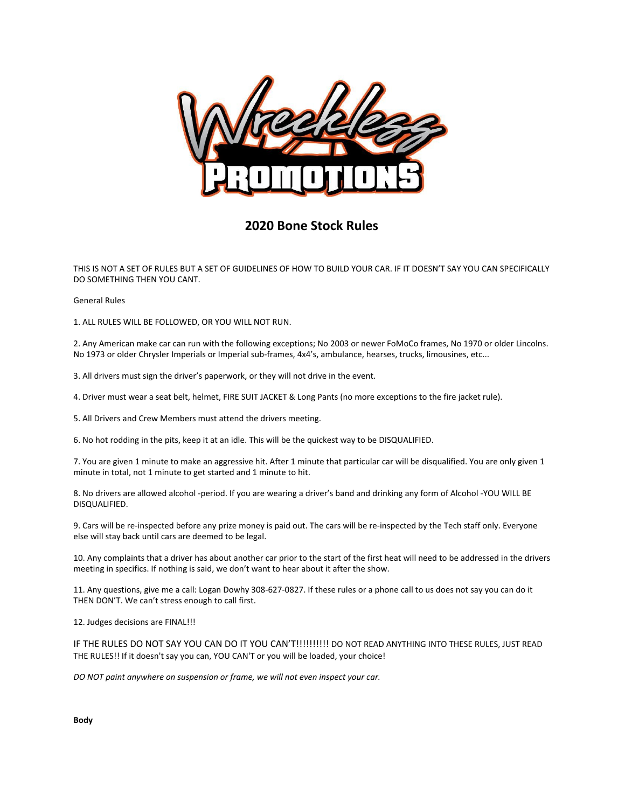

# **2020 Bone Stock Rules**

THIS IS NOT A SET OF RULES BUT A SET OF GUIDELINES OF HOW TO BUILD YOUR CAR. IF IT DOESN'T SAY YOU CAN SPECIFICALLY DO SOMETHING THEN YOU CANT.

General Rules

1. ALL RULES WILL BE FOLLOWED, OR YOU WILL NOT RUN.

2. Any American make car can run with the following exceptions; No 2003 or newer FoMoCo frames, No 1970 or older Lincolns. No 1973 or older Chrysler Imperials or Imperial sub-frames, 4x4's, ambulance, hearses, trucks, limousines, etc...

3. All drivers must sign the driver's paperwork, or they will not drive in the event.

4. Driver must wear a seat belt, helmet, FIRE SUIT JACKET & Long Pants (no more exceptions to the fire jacket rule).

5. All Drivers and Crew Members must attend the drivers meeting.

6. No hot rodding in the pits, keep it at an idle. This will be the quickest way to be DISQUALIFIED.

7. You are given 1 minute to make an aggressive hit. After 1 minute that particular car will be disqualified. You are only given 1 minute in total, not 1 minute to get started and 1 minute to hit.

8. No drivers are allowed alcohol -period. If you are wearing a driver's band and drinking any form of Alcohol -YOU WILL BE DISQUALIFIED.

9. Cars will be re-inspected before any prize money is paid out. The cars will be re-inspected by the Tech staff only. Everyone else will stay back until cars are deemed to be legal.

10. Any complaints that a driver has about another car prior to the start of the first heat will need to be addressed in the drivers meeting in specifics. If nothing is said, we don't want to hear about it after the show.

11. Any questions, give me a call: Logan Dowhy 308-627-0827. If these rules or a phone call to us does not say you can do it THEN DON'T. We can't stress enough to call first.

12. Judges decisions are FINAL!!!

IF THE RULES DO NOT SAY YOU CAN DO IT YOU CAN'T!!!!!!!!!! DO NOT READ ANYTHING INTO THESE RULES, JUST READ THE RULES!! If it doesn't say you can, YOU CAN'T or you will be loaded, your choice!

*DO NOT paint anywhere on suspension or frame, we will not even inspect your car.*

**Body**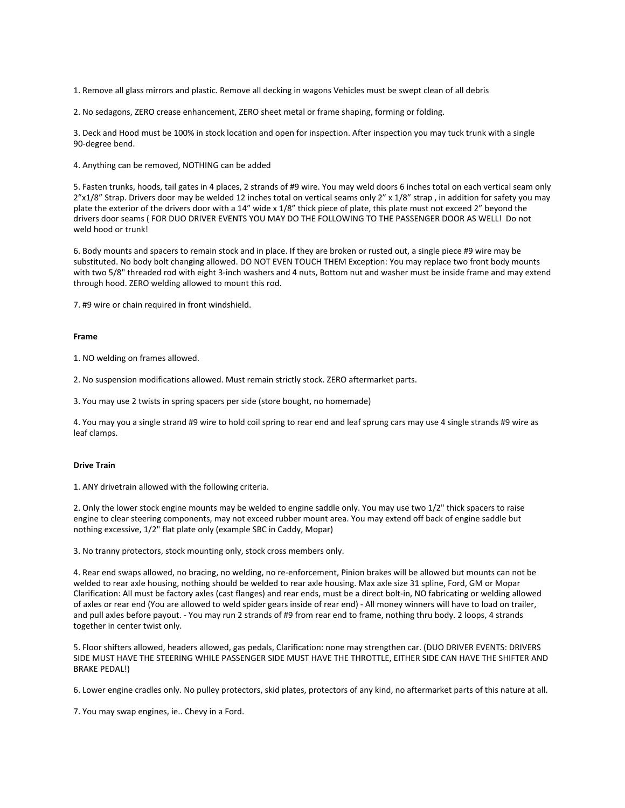1. Remove all glass mirrors and plastic. Remove all decking in wagons Vehicles must be swept clean of all debris

2. No sedagons, ZERO crease enhancement, ZERO sheet metal or frame shaping, forming or folding.

3. Deck and Hood must be 100% in stock location and open for inspection. After inspection you may tuck trunk with a single 90-degree bend.

4. Anything can be removed, NOTHING can be added

5. Fasten trunks, hoods, tail gates in 4 places, 2 strands of #9 wire. You may weld doors 6 inches total on each vertical seam only 2"x1/8" Strap. Drivers door may be welded 12 inches total on vertical seams only 2" x 1/8" strap, in addition for safety you may plate the exterior of the drivers door with a 14" wide x 1/8" thick piece of plate, this plate must not exceed 2" beyond the drivers door seams ( FOR DUO DRIVER EVENTS YOU MAY DO THE FOLLOWING TO THE PASSENGER DOOR AS WELL! Do not weld hood or trunk!

6. Body mounts and spacers to remain stock and in place. If they are broken or rusted out, a single piece #9 wire may be substituted. No body bolt changing allowed. DO NOT EVEN TOUCH THEM Exception: You may replace two front body mounts with two 5/8" threaded rod with eight 3-inch washers and 4 nuts, Bottom nut and washer must be inside frame and may extend through hood. ZERO welding allowed to mount this rod.

7. #9 wire or chain required in front windshield.

## **Frame**

1. NO welding on frames allowed.

2. No suspension modifications allowed. Must remain strictly stock. ZERO aftermarket parts.

3. You may use 2 twists in spring spacers per side (store bought, no homemade)

4. You may you a single strand #9 wire to hold coil spring to rear end and leaf sprung cars may use 4 single strands #9 wire as leaf clamps.

## **Drive Train**

1. ANY drivetrain allowed with the following criteria.

2. Only the lower stock engine mounts may be welded to engine saddle only. You may use two 1/2" thick spacers to raise engine to clear steering components, may not exceed rubber mount area. You may extend off back of engine saddle but nothing excessive, 1/2" flat plate only (example SBC in Caddy, Mopar)

3. No tranny protectors, stock mounting only, stock cross members only.

4. Rear end swaps allowed, no bracing, no welding, no re-enforcement, Pinion brakes will be allowed but mounts can not be welded to rear axle housing, nothing should be welded to rear axle housing. Max axle size 31 spline, Ford, GM or Mopar Clarification: All must be factory axles (cast flanges) and rear ends, must be a direct bolt-in, NO fabricating or welding allowed of axles or rear end (You are allowed to weld spider gears inside of rear end) - All money winners will have to load on trailer, and pull axles before payout. - You may run 2 strands of #9 from rear end to frame, nothing thru body. 2 loops, 4 strands together in center twist only.

5. Floor shifters allowed, headers allowed, gas pedals, Clarification: none may strengthen car. (DUO DRIVER EVENTS: DRIVERS SIDE MUST HAVE THE STEERING WHILE PASSENGER SIDE MUST HAVE THE THROTTLE, EITHER SIDE CAN HAVE THE SHIFTER AND BRAKE PEDAL!)

6. Lower engine cradles only. No pulley protectors, skid plates, protectors of any kind, no aftermarket parts of this nature at all.

7. You may swap engines, ie.. Chevy in a Ford.